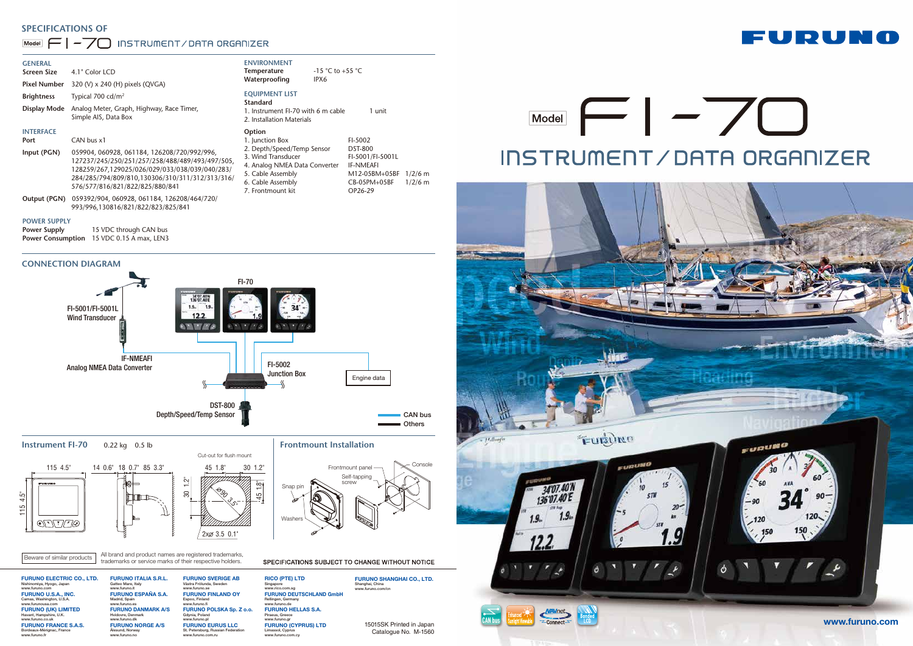



# INSTRUMENT/DATA ORGANIZER

Catalogue No. M-1560



# **SPECIFICATIONS OF**

# Model  $\boxed{\leftarrow}$  |  $\rightarrow$   $\boxed{\leftarrow}$  INSTRUMENT/DATA ORGANIZER

## **CONNECTION DIAGRAM**

All brand and product names are registered trademarks, Eeware of similar products and product names are registered trademarks of their respective holders.

| <b>GENERAL</b><br><b>Screen Size</b><br><b>Pixel Number</b> | 4.1" Color LCD<br>320 (V) x 240 (H) pixels (QVGA)                                                                                                                                                                                                    | <b>ENVIRONMENT</b><br><b>Temperature</b><br>Waterproofing                                                                                                                     | -15 °C to +55 °C<br>IPX6 |                                                                                                               |                        |
|-------------------------------------------------------------|------------------------------------------------------------------------------------------------------------------------------------------------------------------------------------------------------------------------------------------------------|-------------------------------------------------------------------------------------------------------------------------------------------------------------------------------|--------------------------|---------------------------------------------------------------------------------------------------------------|------------------------|
| <b>Brightness</b><br><b>Display Mode</b>                    | Typical 700 cd/ $m2$<br>Analog Meter, Graph, Highway, Race Timer,<br>Simple AIS, Data Box                                                                                                                                                            | <b>EQUIPMENT LIST</b><br>Standard<br>1. Instrument FI-70 with 6 m cable<br>2. Installation Materials                                                                          |                          | 1 unit                                                                                                        |                        |
| <b>INTERFACE</b><br>Port<br>Input (PGN)                     | CAN bus x1<br>059904, 060928, 061184, 126208/720/992/996,<br>127237/245/250/251/257/258/488/489/493/497/505,<br>128259/267,129025/026/029/033/038/039/040/283/<br>284/285/794/809/810,130306/310/311/312/313/316/<br>576/577/816/821/822/825/880/841 | Option<br>1. Junction Box<br>2. Depth/Speed/Temp Sensor<br>3. Wind Transducer<br>4. Analog NMEA Data Converter<br>5. Cable Assembly<br>6. Cable Assembly<br>7. Frontmount kit |                          | FI-5002<br><b>DST-800</b><br>FI-5001/FI-5001L<br><b>IF-NMEAFI</b><br>M12-05BM+05BF<br>CB-05PM+05BF<br>OP26-29 | $1/2/6$ m<br>$1/2/6$ m |
| Output (PGN)                                                | 059392/904, 060928, 061184, 126208/464/720/<br>993/996,130816/821/822/823/825/841                                                                                                                                                                    |                                                                                                                                                                               |                          |                                                                                                               |                        |
| <b>DOUUED CURDIV</b>                                        |                                                                                                                                                                                                                                                      |                                                                                                                                                                               |                          |                                                                                                               |                        |

#### **POWER SUPPLY**

| <b>Power Supply</b>      | 15 VDC through CAN bus  |
|--------------------------|-------------------------|
| <b>Power Consumption</b> | 15 VDC 0.15 A max, LEN3 |

**Frontmount Installation**

FURUNO ELECTRIC CO., LTD. hiya, Hyogo, Japar www.furuno.com FURUNO U.S.A., INC. Camas, Washington, U.S.A. www.furunousa.com FURUNO (UK) LIMITED Havant, Hampshire, U.K. www.furuno.co.uk FURUNO FRANCE S.A.S. Bordeaux-Mérignac, France www.furuno.fr



FURUNO ITALIA S.R.L. Gatteo Mare, Italy www.furuno.it FURUNO ESPAÑA S.A. Madrid, Spain www.furuno.es FURUNO DANMARK A/S Hvidovre, Denmark www.furuno.dk FURUNO NORGE A/S Ålesund, Norway www.furuno.no FURUNO SVERIGE AB Västra Frölunda, Sw www.furuno.se FURUNO FINLAND OY Espoo, Finland www.furuno. FURUNO POLSKA Sp. Z o.o. Gdynia, Poland www.furuno.pl FURUNO EURUS LLC St. Petersburg, Russian Federation www.furuno.com.ru

RICO (PTE ) LTD Singapore www.rico.com.sg FURUNO DEUTSCHLAND GmbH Rellingen, Germany www.furuno.de FURUNO HELLAS S.A. Piraeus, Greece www.furuno.gr FURUNO (CYPRUS) LTD Limassol, Cyprus www.furuno.com.cy

FURUNO SHANGHAI CO., LTD. Shanghai, China www.furuno.com/cn

# **Instrument FI-70** 0.22 kg 0.5 lb





SPECIFICATIONS SUBJECT TO CHANGE WITHOUT NOTICE